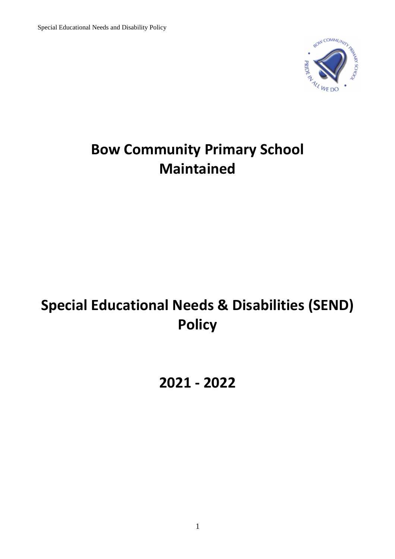

## **Bow Community Primary School Maintained**

# **Special Educational Needs & Disabilities (SEND) Policy**

## **2021 - 2022**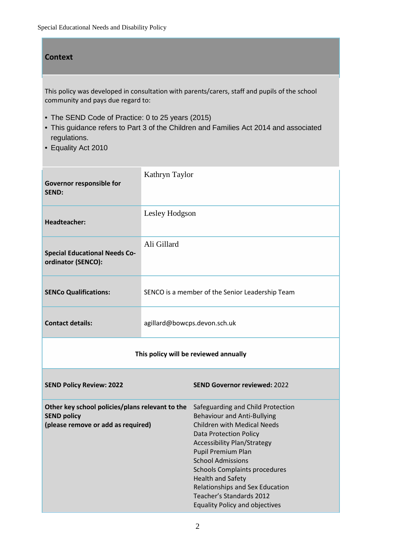#### **Context**

This policy was developed in consultation with parents/carers, staff and pupils of the school community and pays due regard to:

- The SEND Code of Practice: 0 to 25 years (2015)
- This guidance refers to Part 3 of the Children and Families Act 2014 and associated regulations.
- Equality Act 2010

| Governor responsible for<br><b>SEND:</b>                                                                    | Kathryn Taylor               |                                                                                                                                                                                                                                                                                                                                                                                                             |  |  |
|-------------------------------------------------------------------------------------------------------------|------------------------------|-------------------------------------------------------------------------------------------------------------------------------------------------------------------------------------------------------------------------------------------------------------------------------------------------------------------------------------------------------------------------------------------------------------|--|--|
| <b>Headteacher:</b>                                                                                         | Lesley Hodgson               |                                                                                                                                                                                                                                                                                                                                                                                                             |  |  |
| <b>Special Educational Needs Co-</b><br>ordinator (SENCO):                                                  | Ali Gillard                  |                                                                                                                                                                                                                                                                                                                                                                                                             |  |  |
| <b>SENCo Qualifications:</b>                                                                                |                              | SENCO is a member of the Senior Leadership Team                                                                                                                                                                                                                                                                                                                                                             |  |  |
| <b>Contact details:</b>                                                                                     | agillard@bowcps.devon.sch.uk |                                                                                                                                                                                                                                                                                                                                                                                                             |  |  |
| This policy will be reviewed annually                                                                       |                              |                                                                                                                                                                                                                                                                                                                                                                                                             |  |  |
| <b>SEND Policy Review: 2022</b>                                                                             |                              | <b>SEND Governor reviewed: 2022</b>                                                                                                                                                                                                                                                                                                                                                                         |  |  |
| Other key school policies/plans relevant to the<br><b>SEND policy</b><br>(please remove or add as required) |                              | Safeguarding and Child Protection<br><b>Behaviour and Anti-Bullying</b><br><b>Children with Medical Needs</b><br><b>Data Protection Policy</b><br><b>Accessibility Plan/Strategy</b><br>Pupil Premium Plan<br><b>School Admissions</b><br>Schools Complaints procedures<br><b>Health and Safety</b><br>Relationships and Sex Education<br>Teacher's Standards 2012<br><b>Equality Policy and objectives</b> |  |  |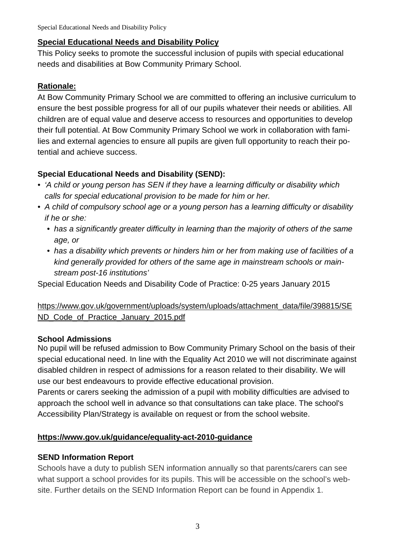#### **Special Educational Needs and Disability Policy**

This Policy seeks to promote the successful inclusion of pupils with special educational needs and disabilities at Bow Community Primary School.

#### **Rationale:**

At Bow Community Primary School we are committed to offering an inclusive curriculum to ensure the best possible progress for all of our pupils whatever their needs or abilities. All children are of equal value and deserve access to resources and opportunities to develop their full potential. At Bow Community Primary School we work in collaboration with families and external agencies to ensure all pupils are given full opportunity to reach their potential and achieve success.

## **Special Educational Needs and Disability (SEND):**

- 'A child or young person has SEN if they have a learning difficulty or disability which calls for special educational provision to be made for him or her.
- A child of compulsory school age or a young person has a learning difficulty or disability if he or she:
	- has a significantly greater difficulty in learning than the majority of others of the same age, or
	- has a disability which prevents or hinders him or her from making use of facilities of a kind generally provided for others of the same age in mainstream schools or mainstream post-16 institutions'

Special Education Needs and Disability Code of Practice: 0-25 years January 2015

#### https://www.gov.uk/government/uploads/system/uploads/attachment\_data/file/398815/SE ND Code of Practice January 2015.pdf

#### **School Admissions**

No pupil will be refused admission to Bow Community Primary School on the basis of their special educational need. In line with the Equality Act 2010 we will not discriminate against disabled children in respect of admissions for a reason related to their disability. We will use our best endeavours to provide effective educational provision.

Parents or carers seeking the admission of a pupil with mobility difficulties are advised to approach the school well in advance so that consultations can take place. The school's Accessibility Plan/Strategy is available on request or from the school website.

#### **https://www.gov.uk/guidance/equality-act-2010-guidance**

#### **SEND Information Report**

Schools have a duty to publish SEN information annually so that parents/carers can see what support a school provides for its pupils. This will be accessible on the school's website. Further details on the SEND Information Report can be found in Appendix 1.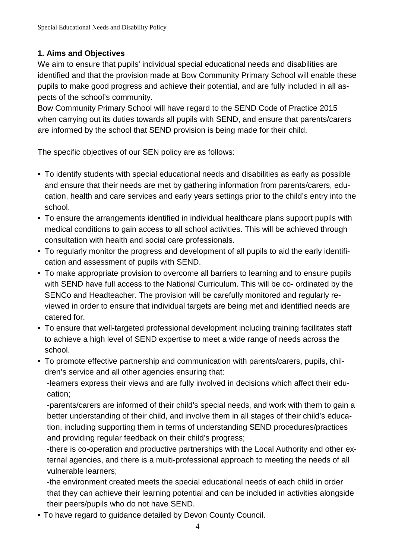## **1. Aims and Objectives**

We aim to ensure that pupils' individual special educational needs and disabilities are identified and that the provision made at Bow Community Primary School will enable these pupils to make good progress and achieve their potential, and are fully included in all aspects of the school's community.

Bow Community Primary School will have regard to the SEND Code of Practice 2015 when carrying out its duties towards all pupils with SEND, and ensure that parents/carers are informed by the school that SEND provision is being made for their child.

#### The specific objectives of our SEN policy are as follows:

- To identify students with special educational needs and disabilities as early as possible and ensure that their needs are met by gathering information from parents/carers, education, health and care services and early years settings prior to the child's entry into the school.
- To ensure the arrangements identified in individual healthcare plans support pupils with medical conditions to gain access to all school activities. This will be achieved through consultation with health and social care professionals.
- To regularly monitor the progress and development of all pupils to aid the early identification and assessment of pupils with SEND.
- To make appropriate provision to overcome all barriers to learning and to ensure pupils with SEND have full access to the National Curriculum. This will be co- ordinated by the SENCo and Headteacher. The provision will be carefully monitored and regularly reviewed in order to ensure that individual targets are being met and identified needs are catered for.
- To ensure that well-targeted professional development including training facilitates staff to achieve a high level of SEND expertise to meet a wide range of needs across the school.
- To promote effective partnership and communication with parents/carers, pupils, children's service and all other agencies ensuring that:

-learners express their views and are fully involved in decisions which affect their education;

-parents/carers are informed of their child's special needs, and work with them to gain a better understanding of their child, and involve them in all stages of their child's education, including supporting them in terms of understanding SEND procedures/practices and providing regular feedback on their child's progress;

-there is co-operation and productive partnerships with the Local Authority and other external agencies, and there is a multi-professional approach to meeting the needs of all vulnerable learners;

-the environment created meets the special educational needs of each child in order that they can achieve their learning potential and can be included in activities alongside their peers/pupils who do not have SEND.

• To have regard to guidance detailed by Devon County Council.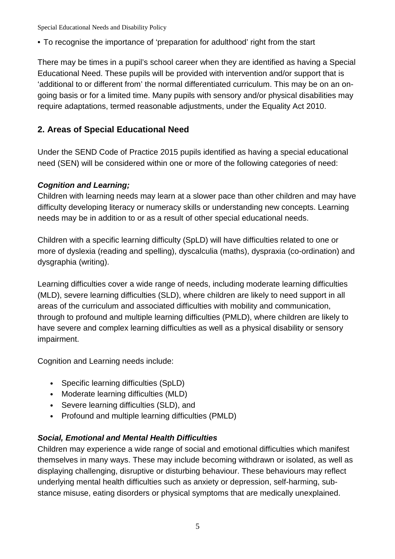• To recognise the importance of 'preparation for adulthood' right from the start

There may be times in a pupil's school career when they are identified as having a Special Educational Need. These pupils will be provided with intervention and/or support that is 'additional to or different from' the normal differentiated curriculum. This may be on an ongoing basis or for a limited time. Many pupils with sensory and/or physical disabilities may require adaptations, termed reasonable adjustments, under the Equality Act 2010.

## **2. Areas of Special Educational Need**

Under the SEND Code of Practice 2015 pupils identified as having a special educational need (SEN) will be considered within one or more of the following categories of need:

## **Cognition and Learning;**

Children with learning needs may learn at a slower pace than other children and may have difficulty developing literacy or numeracy skills or understanding new concepts. Learning needs may be in addition to or as a result of other special educational needs.

Children with a specific learning difficulty (SpLD) will have difficulties related to one or more of dyslexia (reading and spelling), dyscalculia (maths), dyspraxia (co-ordination) and dysgraphia (writing).

Learning difficulties cover a wide range of needs, including moderate learning difficulties (MLD), severe learning difficulties (SLD), where children are likely to need support in all areas of the curriculum and associated difficulties with mobility and communication, through to profound and multiple learning difficulties (PMLD), where children are likely to have severe and complex learning difficulties as well as a physical disability or sensory impairment.

Cognition and Learning needs include:

- Specific learning difficulties (SpLD)
- Moderate learning difficulties (MLD)
- Severe learning difficulties (SLD), and
- Profound and multiple learning difficulties (PMLD)

## **Social, Emotional and Mental Health Difficulties**

Children may experience a wide range of social and emotional difficulties which manifest themselves in many ways. These may include becoming withdrawn or isolated, as well as displaying challenging, disruptive or disturbing behaviour. These behaviours may reflect underlying mental health difficulties such as anxiety or depression, self-harming, substance misuse, eating disorders or physical symptoms that are medically unexplained.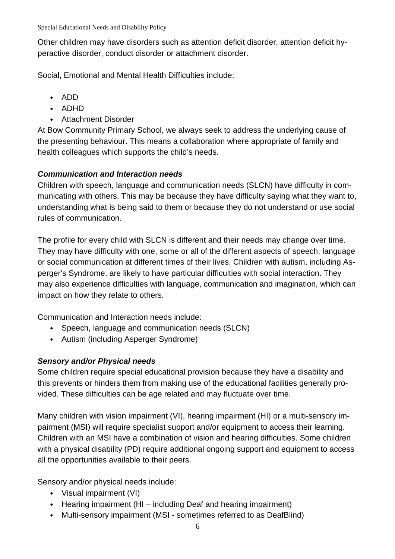Other children may have disorders such as attention deficit disorder, attention deficit hyperactive disorder, conduct disorder or attachment disorder.

Social, Emotional and Mental Health Difficulties include:

- ADD
- ADHD
- Attachment Disorder

At Bow Community Primary School, we always seek to address the underlying cause of the presenting behaviour. This means a collaboration where appropriate of family and health colleagues which supports the child's needs.

## **Communication and Interaction needs**

Children with speech, language and communication needs (SLCN) have difficulty in communicating with others. This may be because they have difficulty saying what they want to, understanding what is being said to them or because they do not understand or use social rules of communication.

The profile for every child with SLCN is different and their needs may change over time. They may have difficulty with one, some or all of the different aspects of speech, language or social communication at different times of their lives. Children with autism, including Asperger's Syndrome, are likely to have particular difficulties with social interaction. They may also experience difficulties with language, communication and imagination, which can impact on how they relate to others.

Communication and Interaction needs include:

- Speech, language and communication needs (SLCN)
- Autism (including Asperger Syndrome)

## **Sensory and/or Physical needs**

Some children require special educational provision because they have a disability and this prevents or hinders them from making use of the educational facilities generally provided. These difficulties can be age related and may fluctuate over time.

Many children with vision impairment (VI), hearing impairment (HI) or a multi-sensory impairment (MSI) will require specialist support and/or equipment to access their learning. Children with an MSI have a combination of vision and hearing difficulties. Some children with a physical disability (PD) require additional ongoing support and equipment to access all the opportunities available to their peers.

Sensory and/or physical needs include:

- Visual impairment (VI)
- Hearing impairment (HI including Deaf and hearing impairment)
- Multi-sensory impairment (MSI sometimes referred to as DeafBlind)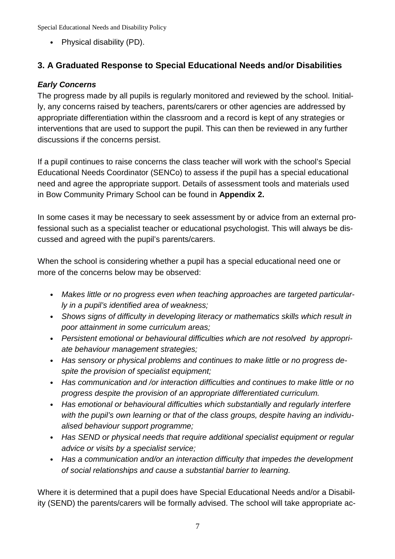• Physical disability (PD).

## **3. A Graduated Response to Special Educational Needs and/or Disabilities**

## **Early Concerns**

The progress made by all pupils is regularly monitored and reviewed by the school. Initially, any concerns raised by teachers, parents/carers or other agencies are addressed by appropriate differentiation within the classroom and a record is kept of any strategies or interventions that are used to support the pupil. This can then be reviewed in any further discussions if the concerns persist.

If a pupil continues to raise concerns the class teacher will work with the school's Special Educational Needs Coordinator (SENCo) to assess if the pupil has a special educational need and agree the appropriate support. Details of assessment tools and materials used in Bow Community Primary School can be found in **Appendix 2.**

In some cases it may be necessary to seek assessment by or advice from an external professional such as a specialist teacher or educational psychologist. This will always be discussed and agreed with the pupil's parents/carers.

When the school is considering whether a pupil has a special educational need one or more of the concerns below may be observed:

- Makes little or no progress even when teaching approaches are targeted particularly in a pupil's identified area of weakness;
- Shows signs of difficulty in developing literacy or mathematics skills which result in poor attainment in some curriculum areas;
- Persistent emotional or behavioural difficulties which are not resolved by appropriate behaviour management strategies;
- Has sensory or physical problems and continues to make little or no progress despite the provision of specialist equipment;
- Has communication and /or interaction difficulties and continues to make little or no progress despite the provision of an appropriate differentiated curriculum.
- Has emotional or behavioural difficulties which substantially and regularly interfere with the pupil's own learning or that of the class groups, despite having an individualised behaviour support programme;
- Has SEND or physical needs that require additional specialist equipment or regular advice or visits by a specialist service;
- Has a communication and/or an interaction difficulty that impedes the development of social relationships and cause a substantial barrier to learning.

Where it is determined that a pupil does have Special Educational Needs and/or a Disability (SEND) the parents/carers will be formally advised. The school will take appropriate ac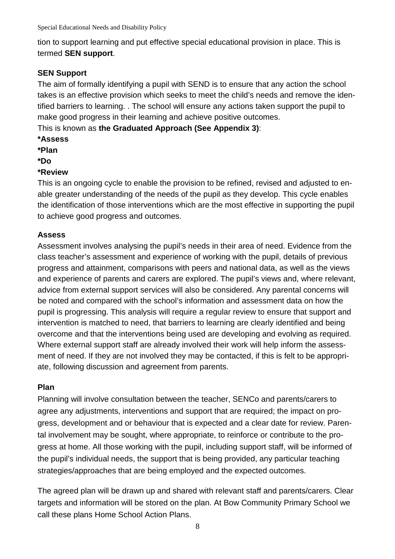tion to support learning and put effective special educational provision in place. This is termed **SEN support**.

## **SEN Support**

The aim of formally identifying a pupil with SEND is to ensure that any action the school takes is an effective provision which seeks to meet the child's needs and remove the identified barriers to learning. . The school will ensure any actions taken support the pupil to make good progress in their learning and achieve positive outcomes.

This is known as **the Graduated Approach (See Appendix 3)**:

- **\*Assess**
- **\*Plan**
- **\*Do**

## **\*Review**

This is an ongoing cycle to enable the provision to be refined, revised and adjusted to enable greater understanding of the needs of the pupil as they develop. This cycle enables the identification of those interventions which are the most effective in supporting the pupil to achieve good progress and outcomes.

## **Assess**

Assessment involves analysing the pupil's needs in their area of need. Evidence from the class teacher's assessment and experience of working with the pupil, details of previous progress and attainment, comparisons with peers and national data, as well as the views and experience of parents and carers are explored. The pupil's views and, where relevant, advice from external support services will also be considered. Any parental concerns will be noted and compared with the school's information and assessment data on how the pupil is progressing. This analysis will require a regular review to ensure that support and intervention is matched to need, that barriers to learning are clearly identified and being overcome and that the interventions being used are developing and evolving as required. Where external support staff are already involved their work will help inform the assessment of need. If they are not involved they may be contacted, if this is felt to be appropriate, following discussion and agreement from parents.

## **Plan**

Planning will involve consultation between the teacher, SENCo and parents/carers to agree any adjustments, interventions and support that are required; the impact on progress, development and or behaviour that is expected and a clear date for review. Parental involvement may be sought, where appropriate, to reinforce or contribute to the progress at home. All those working with the pupil, including support staff, will be informed of the pupil's individual needs, the support that is being provided, any particular teaching strategies/approaches that are being employed and the expected outcomes.

The agreed plan will be drawn up and shared with relevant staff and parents/carers. Clear targets and information will be stored on the plan. At Bow Community Primary School we call these plans Home School Action Plans.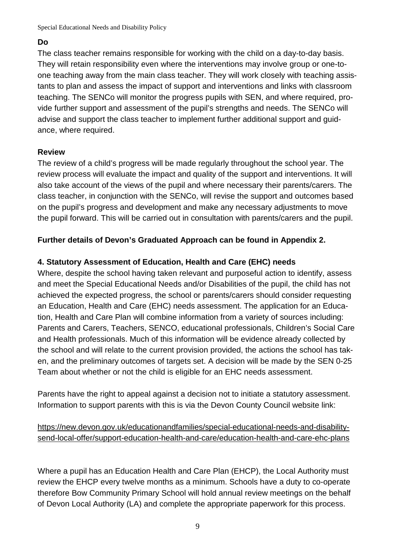#### **Do**

The class teacher remains responsible for working with the child on a day-to-day basis. They will retain responsibility even where the interventions may involve group or one-toone teaching away from the main class teacher. They will work closely with teaching assistants to plan and assess the impact of support and interventions and links with classroom teaching. The SENCo will monitor the progress pupils with SEN, and where required, provide further support and assessment of the pupil's strengths and needs. The SENCo will advise and support the class teacher to implement further additional support and guidance, where required.

#### **Review**

The review of a child's progress will be made regularly throughout the school year. The review process will evaluate the impact and quality of the support and interventions. It will also take account of the views of the pupil and where necessary their parents/carers. The class teacher, in conjunction with the SENCo, will revise the support and outcomes based on the pupil's progress and development and make any necessary adjustments to move the pupil forward. This will be carried out in consultation with parents/carers and the pupil.

## **Further details of Devon's Graduated Approach can be found in Appendix 2.**

## **4. Statutory Assessment of Education, Health and Care (EHC) needs**

Where, despite the school having taken relevant and purposeful action to identify, assess and meet the Special Educational Needs and/or Disabilities of the pupil, the child has not achieved the expected progress, the school or parents/carers should consider requesting an Education, Health and Care (EHC) needs assessment. The application for an Education, Health and Care Plan will combine information from a variety of sources including: Parents and Carers, Teachers, SENCO, educational professionals, Children's Social Care and Health professionals. Much of this information will be evidence already collected by the school and will relate to the current provision provided, the actions the school has taken, and the preliminary outcomes of targets set. A decision will be made by the SEN 0-25 Team about whether or not the child is eligible for an EHC needs assessment.

Parents have the right to appeal against a decision not to initiate a statutory assessment. Information to support parents with this is via the Devon County Council website link:

## https://new.devon.gov.uk/educationandfamilies/special-educational-needs-and-disabilitysend-local-offer/support-education-health-and-care/education-health-and-care-ehc-plans

Where a pupil has an Education Health and Care Plan (EHCP), the Local Authority must review the EHCP every twelve months as a minimum. Schools have a duty to co-operate therefore Bow Community Primary School will hold annual review meetings on the behalf of Devon Local Authority (LA) and complete the appropriate paperwork for this process.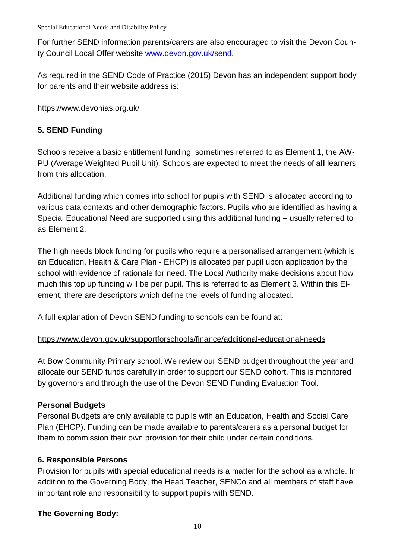For further SEND information parents/carers are also encouraged to visit the Devon County Council Local Offer website www.devon.gov.uk/send.

As required in the SEND Code of Practice (2015) Devon has an independent support body for parents and their website address is:

#### https://www.devonias.org.uk/

## **5. SEND Funding**

Schools receive a basic entitlement funding, sometimes referred to as Element 1, the AW-PU (Average Weighted Pupil Unit). Schools are expected to meet the needs of **all** learners from this allocation.

Additional funding which comes into school for pupils with SEND is allocated according to various data contexts and other demographic factors. Pupils who are identified as having a Special Educational Need are supported using this additional funding – usually referred to as Element 2.

The high needs block funding for pupils who require a personalised arrangement (which is an Education, Health & Care Plan - EHCP) is allocated per pupil upon application by the school with evidence of rationale for need. The Local Authority make decisions about how much this top up funding will be per pupil. This is referred to as Element 3. Within this Element, there are descriptors which define the levels of funding allocated.

A full explanation of Devon SEND funding to schools can be found at:

## https://www.devon.gov.uk/supportforschools/finance/additional-educational-needs

At Bow Community Primary school. We review our SEND budget throughout the year and allocate our SEND funds carefully in order to support our SEND cohort. This is monitored by governors and through the use of the Devon SEND Funding Evaluation Tool.

## **Personal Budgets**

Personal Budgets are only available to pupils with an Education, Health and Social Care Plan (EHCP). Funding can be made available to parents/carers as a personal budget for them to commission their own provision for their child under certain conditions.

## **6. Responsible Persons**

Provision for pupils with special educational needs is a matter for the school as a whole. In addition to the Governing Body, the Head Teacher, SENCo and all members of staff have important role and responsibility to support pupils with SEND.

## **The Governing Body:**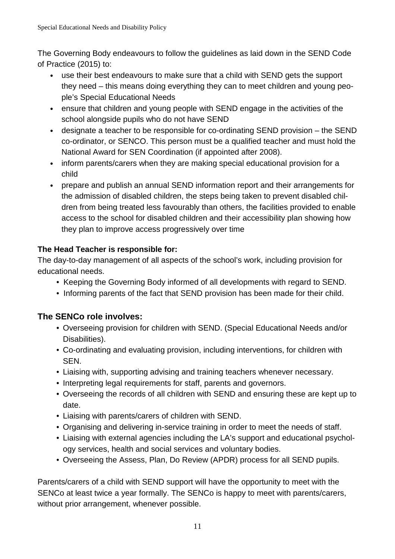The Governing Body endeavours to follow the guidelines as laid down in the SEND Code of Practice (2015) to:

- use their best endeavours to make sure that a child with SEND gets the support they need – this means doing everything they can to meet children and young people's Special Educational Needs
- ensure that children and young people with SEND engage in the activities of the school alongside pupils who do not have SEND
- designate a teacher to be responsible for co-ordinating SEND provision the SEND co-ordinator, or SENCO. This person must be a qualified teacher and must hold the National Award for SEN Coordination (if appointed after 2008).
- inform parents/carers when they are making special educational provision for a child
- prepare and publish an annual SEND information report and their arrangements for the admission of disabled children, the steps being taken to prevent disabled children from being treated less favourably than others, the facilities provided to enable access to the school for disabled children and their accessibility plan showing how they plan to improve access progressively over time

## **The Head Teacher is responsible for:**

The day-to-day management of all aspects of the school's work, including provision for educational needs.

- Keeping the Governing Body informed of all developments with regard to SEND.
- Informing parents of the fact that SEND provision has been made for their child.

## **The SENCo role involves:**

- Overseeing provision for children with SEND. (Special Educational Needs and/or Disabilities).
- Co-ordinating and evaluating provision, including interventions, for children with SEN.
- Liaising with, supporting advising and training teachers whenever necessary.
- Interpreting legal requirements for staff, parents and governors.
- Overseeing the records of all children with SEND and ensuring these are kept up to date.
- Liaising with parents/carers of children with SEND.
- Organising and delivering in-service training in order to meet the needs of staff.
- Liaising with external agencies including the LA's support and educational psychology services, health and social services and voluntary bodies.
- Overseeing the Assess, Plan, Do Review (APDR) process for all SEND pupils.

Parents/carers of a child with SEND support will have the opportunity to meet with the SENCo at least twice a year formally. The SENCo is happy to meet with parents/carers, without prior arrangement, whenever possible.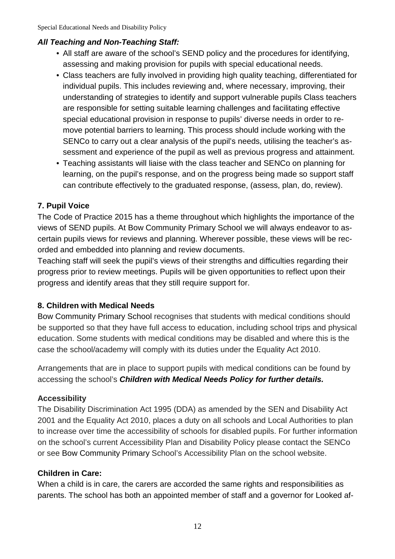#### **All Teaching and Non-Teaching Staff:**

- All staff are aware of the school's SEND policy and the procedures for identifying, assessing and making provision for pupils with special educational needs.
- Class teachers are fully involved in providing high quality teaching, differentiated for individual pupils. This includes reviewing and, where necessary, improving, their understanding of strategies to identify and support vulnerable pupils Class teachers are responsible for setting suitable learning challenges and facilitating effective special educational provision in response to pupils' diverse needs in order to remove potential barriers to learning. This process should include working with the SENCo to carry out a clear analysis of the pupil's needs, utilising the teacher's assessment and experience of the pupil as well as previous progress and attainment.
- Teaching assistants will liaise with the class teacher and SENCo on planning for learning, on the pupil's response, and on the progress being made so support staff can contribute effectively to the graduated response, (assess, plan, do, review).

## **7. Pupil Voice**

The Code of Practice 2015 has a theme throughout which highlights the importance of the views of SEND pupils. At Bow Community Primary School we will always endeavor to ascertain pupils views for reviews and planning. Wherever possible, these views will be recorded and embedded into planning and review documents.

Teaching staff will seek the pupil's views of their strengths and difficulties regarding their progress prior to review meetings. Pupils will be given opportunities to reflect upon their progress and identify areas that they still require support for.

#### **8. Children with Medical Needs**

Bow Community Primary School recognises that students with medical conditions should be supported so that they have full access to education, including school trips and physical education. Some students with medical conditions may be disabled and where this is the case the school/academy will comply with its duties under the Equality Act 2010.

Arrangements that are in place to support pupils with medical conditions can be found by accessing the school's **Children with Medical Needs Policy for further details.**

#### **Accessibility**

The Disability Discrimination Act 1995 (DDA) as amended by the SEN and Disability Act 2001 and the Equality Act 2010, places a duty on all schools and Local Authorities to plan to increase over time the accessibility of schools for disabled pupils. For further information on the school's current Accessibility Plan and Disability Policy please contact the SENCo or see Bow Community Primary School's Accessibility Plan on the school website.

#### **Children in Care:**

When a child is in care, the carers are accorded the same rights and responsibilities as parents. The school has both an appointed member of staff and a governor for Looked af-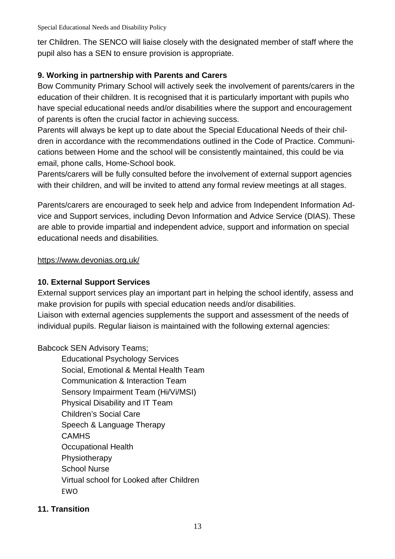ter Children. The SENCO will liaise closely with the designated member of staff where the pupil also has a SEN to ensure provision is appropriate.

#### **9. Working in partnership with Parents and Carers**

Bow Community Primary School will actively seek the involvement of parents/carers in the education of their children. It is recognised that it is particularly important with pupils who have special educational needs and/or disabilities where the support and encouragement of parents is often the crucial factor in achieving success.

Parents will always be kept up to date about the Special Educational Needs of their children in accordance with the recommendations outlined in the Code of Practice. Communications between Home and the school will be consistently maintained, this could be via email, phone calls, Home-School book.

Parents/carers will be fully consulted before the involvement of external support agencies with their children, and will be invited to attend any formal review meetings at all stages.

Parents/carers are encouraged to seek help and advice from Independent Information Advice and Support services, including Devon Information and Advice Service (DIAS). These are able to provide impartial and independent advice, support and information on special educational needs and disabilities.

https://www.devonias.org.uk/

#### **10. External Support Services**

External support services play an important part in helping the school identify, assess and make provision for pupils with special education needs and/or disabilities. Liaison with external agencies supplements the support and assessment of the needs of individual pupils. Regular liaison is maintained with the following external agencies:

Babcock SEN Advisory Teams;

Educational Psychology Services Social, Emotional & Mental Health Team Communication & Interaction Team Sensory Impairment Team (Hi/Vi/MSI) Physical Disability and IT Team Children's Social Care Speech & Language Therapy **CAMHS** Occupational Health Physiotherapy School Nurse Virtual school for Looked after Children EWO

#### **11. Transition**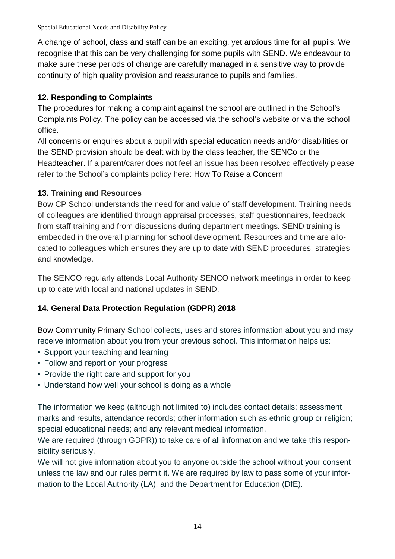A change of school, class and staff can be an exciting, yet anxious time for all pupils. We recognise that this can be very challenging for some pupils with SEND. We endeavour to make sure these periods of change are carefully managed in a sensitive way to provide continuity of high quality provision and reassurance to pupils and families.

## **12. Responding to Complaints**

The procedures for making a complaint against the school are outlined in the School's Complaints Policy. The policy can be accessed via the school's website or via the school office.

All concerns or enquires about a pupil with special education needs and/or disabilities or the SEND provision should be dealt with by the class teacher, the SENCo or the Headteacher. If a parent/carer does not feel an issue has been resolved effectively please refer to the School's complaints policy here: How To Raise a Concern

## **13. Training and Resources**

Bow CP School understands the need for and value of staff development. Training needs of colleagues are identified through appraisal processes, staff questionnaires, feedback from staff training and from discussions during department meetings. SEND training is embedded in the overall planning for school development. Resources and time are allocated to colleagues which ensures they are up to date with SEND procedures, strategies and knowledge.

The SENCO regularly attends Local Authority SENCO network meetings in order to keep up to date with local and national updates in SEND.

## **14. General Data Protection Regulation (GDPR) 2018**

Bow Community Primary School collects, uses and stores information about you and may receive information about you from your previous school. This information helps us:

- Support your teaching and learning
- Follow and report on your progress
- Provide the right care and support for you
- Understand how well your school is doing as a whole

The information we keep (although not limited to) includes contact details; assessment marks and results, attendance records; other information such as ethnic group or religion; special educational needs; and any relevant medical information.

We are required (through GDPR)) to take care of all information and we take this responsibility seriously.

We will not give information about you to anyone outside the school without your consent unless the law and our rules permit it. We are required by law to pass some of your information to the Local Authority (LA), and the Department for Education (DfE).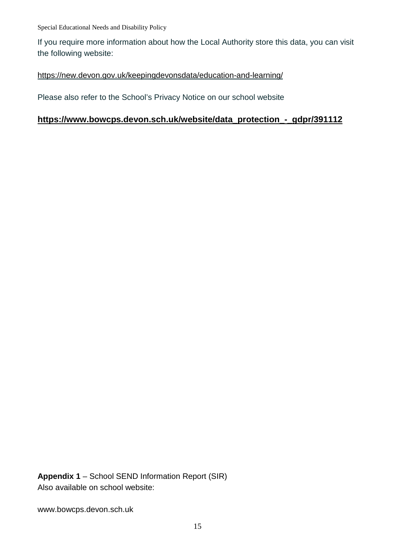If you require more information about how the Local Authority store this data, you can visit the following website:

#### https://new.devon.gov.uk/keepingdevonsdata/education-and-learning/

Please also refer to the School's Privacy Notice on our school website

#### **https://www.bowcps.devon.sch.uk/website/data\_protection\_-\_gdpr/391112**

**Appendix 1** – School SEND Information Report (SIR) Also available on school website:

www.bowcps.devon.sch.uk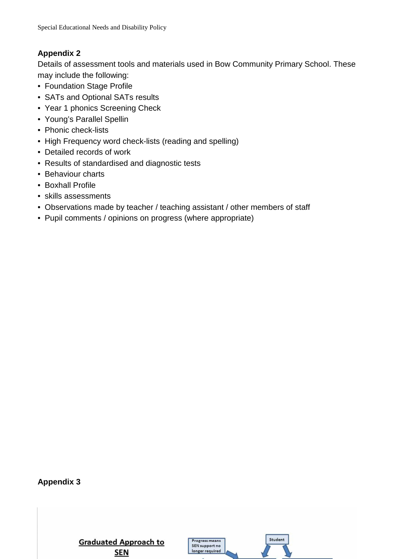## **Appendix 2**

Details of assessment tools and materials used in Bow Community Primary School. These may include the following:

- Foundation Stage Profile
- SATs and Optional SATs results
- Year 1 phonics Screening Check
- Young's Parallel Spellin
- Phonic check-lists
- High Frequency word check-lists (reading and spelling)
- Detailed records of work
- Results of standardised and diagnostic tests
- Behaviour charts
- Boxhall Profile
- skills assessments
- Observations made by teacher / teaching assistant / other members of staff
- Pupil comments / opinions on progress (where appropriate)

**Appendix 3** 

**Graduated Approach to SEN** 

Progress means SEN support no longer required

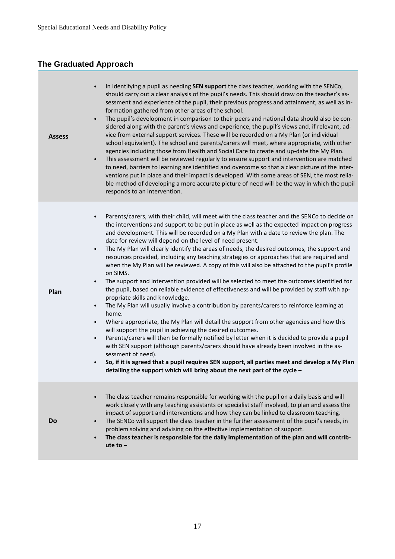## **The Graduated Approach**

| <b>Assess</b> | In identifying a pupil as needing SEN support the class teacher, working with the SENCo,<br>should carry out a clear analysis of the pupil's needs. This should draw on the teacher's as-<br>sessment and experience of the pupil, their previous progress and attainment, as well as in-<br>formation gathered from other areas of the school.<br>The pupil's development in comparison to their peers and national data should also be con-<br>sidered along with the parent's views and experience, the pupil's views and, if relevant, ad-<br>vice from external support services. These will be recorded on a My Plan (or individual<br>school equivalent). The school and parents/carers will meet, where appropriate, with other<br>agencies including those from Health and Social Care to create and up-date the My Plan.<br>This assessment will be reviewed regularly to ensure support and intervention are matched<br>$\bullet$<br>to need, barriers to learning are identified and overcome so that a clear picture of the inter-<br>ventions put in place and their impact is developed. With some areas of SEN, the most relia-<br>ble method of developing a more accurate picture of need will be the way in which the pupil<br>responds to an intervention.                                                                                                                                                                                                                                                                                                                                                               |
|---------------|----------------------------------------------------------------------------------------------------------------------------------------------------------------------------------------------------------------------------------------------------------------------------------------------------------------------------------------------------------------------------------------------------------------------------------------------------------------------------------------------------------------------------------------------------------------------------------------------------------------------------------------------------------------------------------------------------------------------------------------------------------------------------------------------------------------------------------------------------------------------------------------------------------------------------------------------------------------------------------------------------------------------------------------------------------------------------------------------------------------------------------------------------------------------------------------------------------------------------------------------------------------------------------------------------------------------------------------------------------------------------------------------------------------------------------------------------------------------------------------------------------------------------------------------------------------------------------------------------------------------------------------------|
| Plan          | Parents/carers, with their child, will meet with the class teacher and the SENCo to decide on<br>$\bullet$<br>the interventions and support to be put in place as well as the expected impact on progress<br>and development. This will be recorded on a My Plan with a date to review the plan. The<br>date for review will depend on the level of need present.<br>The My Plan will clearly identify the areas of needs, the desired outcomes, the support and<br>$\bullet$<br>resources provided, including any teaching strategies or approaches that are required and<br>when the My Plan will be reviewed. A copy of this will also be attached to the pupil's profile<br>on SIMS.<br>The support and intervention provided will be selected to meet the outcomes identified for<br>$\bullet$<br>the pupil, based on reliable evidence of effectiveness and will be provided by staff with ap-<br>propriate skills and knowledge.<br>The My Plan will usually involve a contribution by parents/carers to reinforce learning at<br>$\bullet$<br>home.<br>Where appropriate, the My Plan will detail the support from other agencies and how this<br>will support the pupil in achieving the desired outcomes.<br>Parents/carers will then be formally notified by letter when it is decided to provide a pupil<br>$\bullet$<br>with SEN support (although parents/carers should have already been involved in the as-<br>sessment of need).<br>So, if it is agreed that a pupil requires SEN support, all parties meet and develop a My Plan<br>$\bullet$<br>detailing the support which will bring about the next part of the cycle - |
| <b>Do</b>     | The class teacher remains responsible for working with the pupil on a daily basis and will<br>work closely with any teaching assistants or specialist staff involved, to plan and assess the<br>impact of support and interventions and how they can be linked to classroom teaching.<br>The SENCo will support the class teacher in the further assessment of the pupil's needs, in<br>problem solving and advising on the effective implementation of support.<br>The class teacher is responsible for the daily implementation of the plan and will contrib-<br>ute to $-$                                                                                                                                                                                                                                                                                                                                                                                                                                                                                                                                                                                                                                                                                                                                                                                                                                                                                                                                                                                                                                                                |